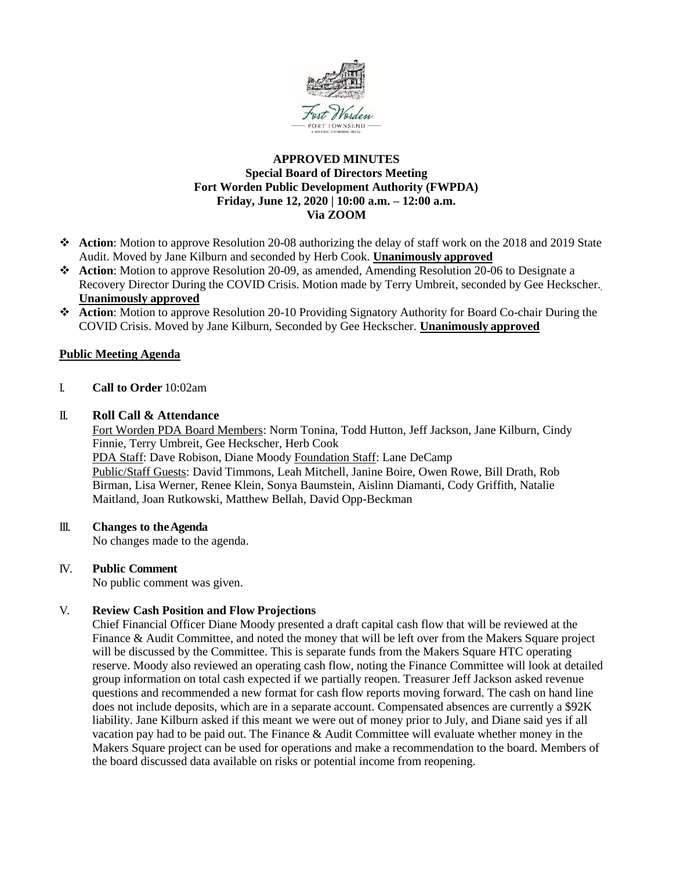

### **APPROVED MINUTES Special Board of Directors Meeting Fort Worden Public Development Authority (FWPDA) Friday, June 12, 2020 | 10:00 a.m. – 12:00 a.m. Via ZOOM**

- ❖ **Action**: Motion to approve Resolution 20-08 authorizing the delay of staff work on the 2018 and 2019 State Audit. Moved by Jane Kilburn and seconded by Herb Cook. **Unanimously approved**
- ❖ **Action**: Motion to approve Resolution 20-09, as amended, Amending Resolution 20-06 to Designate a Recovery Director During the COVID Crisis. Motion made by Terry Umbreit, seconded by Gee Heckscher. **Unanimously approved**
- ❖ **Action**: Motion to approve Resolution 20-10 Providing Signatory Authority for Board Co-chair During the COVID Crisis. Moved by Jane Kilburn, Seconded by Gee Heckscher. **Unanimously approved**

## **Public Meeting Agenda**

I. **Call to Order** 10:02am

### II. **Roll Call & Attendance**

Fort Worden PDA Board Members: Norm Tonina, Todd Hutton, Jeff Jackson, Jane Kilburn, Cindy Finnie, Terry Umbreit, Gee Heckscher, Herb Cook PDA Staff: Dave Robison, Diane Moody Foundation Staff: Lane DeCamp Public/Staff Guests: David Timmons, Leah Mitchell, Janine Boire, Owen Rowe, Bill Drath, Rob Birman, Lisa Werner, Renee Klein, Sonya Baumstein, Aislinn Diamanti, Cody Griffith, Natalie Maitland, Joan Rutkowski, Matthew Bellah, David Opp-Beckman

### III. **Changes to theAgenda**

No changes made to the agenda.

### IV. **Public Comment**

No public comment was given.

### V. **Review Cash Position and Flow Projections**

Chief Financial Officer Diane Moody presented a draft capital cash flow that will be reviewed at the Finance & Audit Committee, and noted the money that will be left over from the Makers Square project will be discussed by the Committee. This is separate funds from the Makers Square HTC operating reserve. Moody also reviewed an operating cash flow, noting the Finance Committee will look at detailed group information on total cash expected if we partially reopen. Treasurer Jeff Jackson asked revenue questions and recommended a new format for cash flow reports moving forward. The cash on hand line does not include deposits, which are in a separate account. Compensated absences are currently a \$92K liability. Jane Kilburn asked if this meant we were out of money prior to July, and Diane said yes if all vacation pay had to be paid out. The Finance & Audit Committee will evaluate whether money in the Makers Square project can be used for operations and make a recommendation to the board. Members of the board discussed data available on risks or potential income from reopening.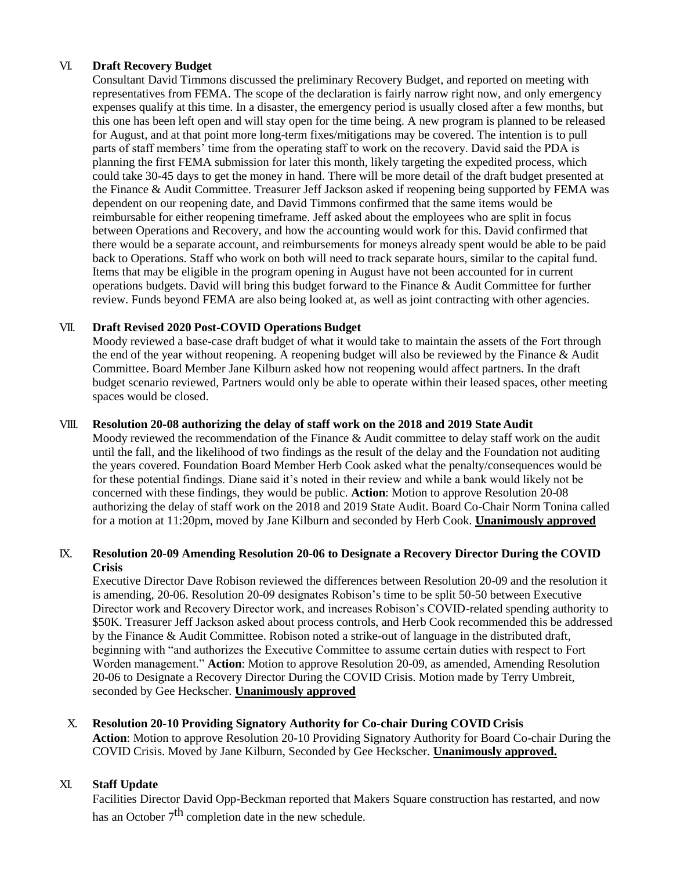## VI. **Draft Recovery Budget**

Consultant David Timmons discussed the preliminary Recovery Budget, and reported on meeting with representatives from FEMA. The scope of the declaration is fairly narrow right now, and only emergency expenses qualify at this time. In a disaster, the emergency period is usually closed after a few months, but this one has been left open and will stay open for the time being. A new program is planned to be released for August, and at that point more long-term fixes/mitigations may be covered. The intention is to pull parts of staff members' time from the operating staff to work on the recovery. David said the PDA is planning the first FEMA submission for later this month, likely targeting the expedited process, which could take 30-45 days to get the money in hand. There will be more detail of the draft budget presented at the Finance & Audit Committee. Treasurer Jeff Jackson asked if reopening being supported by FEMA was dependent on our reopening date, and David Timmons confirmed that the same items would be reimbursable for either reopening timeframe. Jeff asked about the employees who are split in focus between Operations and Recovery, and how the accounting would work for this. David confirmed that there would be a separate account, and reimbursements for moneys already spent would be able to be paid back to Operations. Staff who work on both will need to track separate hours, similar to the capital fund. Items that may be eligible in the program opening in August have not been accounted for in current operations budgets. David will bring this budget forward to the Finance & Audit Committee for further review. Funds beyond FEMA are also being looked at, as well as joint contracting with other agencies.

# VII. **Draft Revised 2020 Post-COVID Operations Budget**

Moody reviewed a base-case draft budget of what it would take to maintain the assets of the Fort through the end of the year without reopening. A reopening budget will also be reviewed by the Finance & Audit Committee. Board Member Jane Kilburn asked how not reopening would affect partners. In the draft budget scenario reviewed, Partners would only be able to operate within their leased spaces, other meeting spaces would be closed.

### VIII. **Resolution 20-08 authorizing the delay of staff work on the 2018 and 2019 State Audit**

Moody reviewed the recommendation of the Finance & Audit committee to delay staff work on the audit until the fall, and the likelihood of two findings as the result of the delay and the Foundation not auditing the years covered. Foundation Board Member Herb Cook asked what the penalty/consequences would be for these potential findings. Diane said it's noted in their review and while a bank would likely not be concerned with these findings, they would be public. **Action**: Motion to approve Resolution 20-08 authorizing the delay of staff work on the 2018 and 2019 State Audit. Board Co-Chair Norm Tonina called for a motion at 11:20pm, moved by Jane Kilburn and seconded by Herb Cook. **Unanimously approved**

## IX. **Resolution 20-09 Amending Resolution 20-06 to Designate a Recovery Director During the COVID Crisis**

Executive Director Dave Robison reviewed the differences between Resolution 20-09 and the resolution it is amending, 20-06. Resolution 20-09 designates Robison's time to be split 50-50 between Executive Director work and Recovery Director work, and increases Robison's COVID-related spending authority to \$50K. Treasurer Jeff Jackson asked about process controls, and Herb Cook recommended this be addressed by the Finance & Audit Committee. Robison noted a strike-out of language in the distributed draft, beginning with "and authorizes the Executive Committee to assume certain duties with respect to Fort Worden management." **Action**: Motion to approve Resolution 20-09, as amended, Amending Resolution 20-06 to Designate a Recovery Director During the COVID Crisis. Motion made by Terry Umbreit, seconded by Gee Heckscher. **Unanimously approved**

# X. **Resolution 20-10 Providing Signatory Authority for Co-chair During COVID Crisis**

**Action**: Motion to approve Resolution 20-10 Providing Signatory Authority for Board Co-chair During the COVID Crisis. Moved by Jane Kilburn, Seconded by Gee Heckscher. **Unanimously approved.**

# XI. **Staff Update**

Facilities Director David Opp-Beckman reported that Makers Square construction has restarted, and now has an October  $7<sup>th</sup>$  completion date in the new schedule.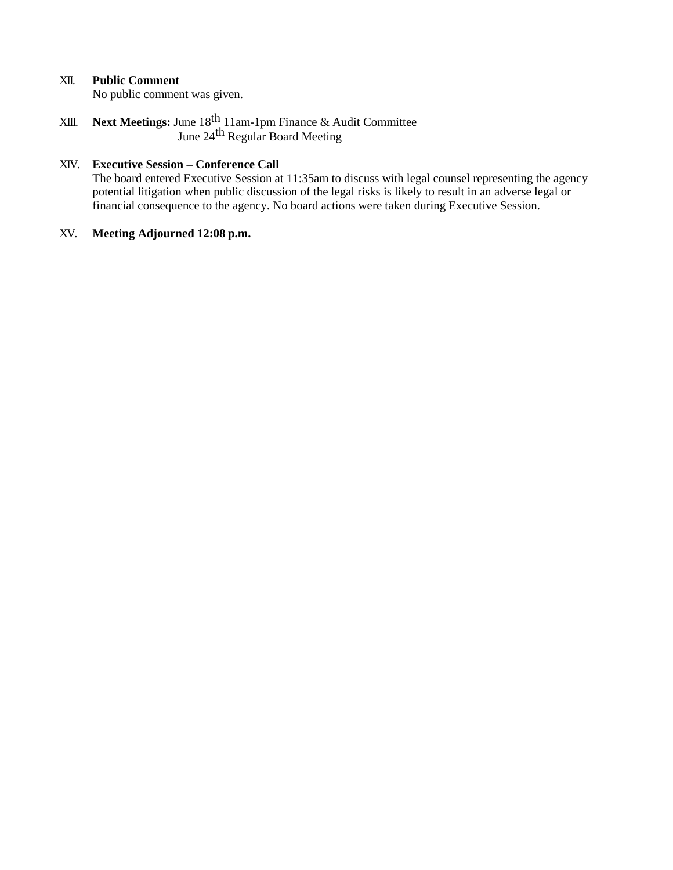## XII. **Public Comment**

No public comment was given.

XIII. **Next Meetings:** June 18th 11am-1pm Finance & Audit Committee June 24<sup>th</sup> Regular Board Meeting

## XIV. **Executive Session – Conference Call**

The board entered Executive Session at 11:35am to discuss with legal counsel representing the agency potential litigation when public discussion of the legal risks is likely to result in an adverse legal or financial consequence to the agency. No board actions were taken during Executive Session.

#### XV. **Meeting Adjourned 12:08 p.m.**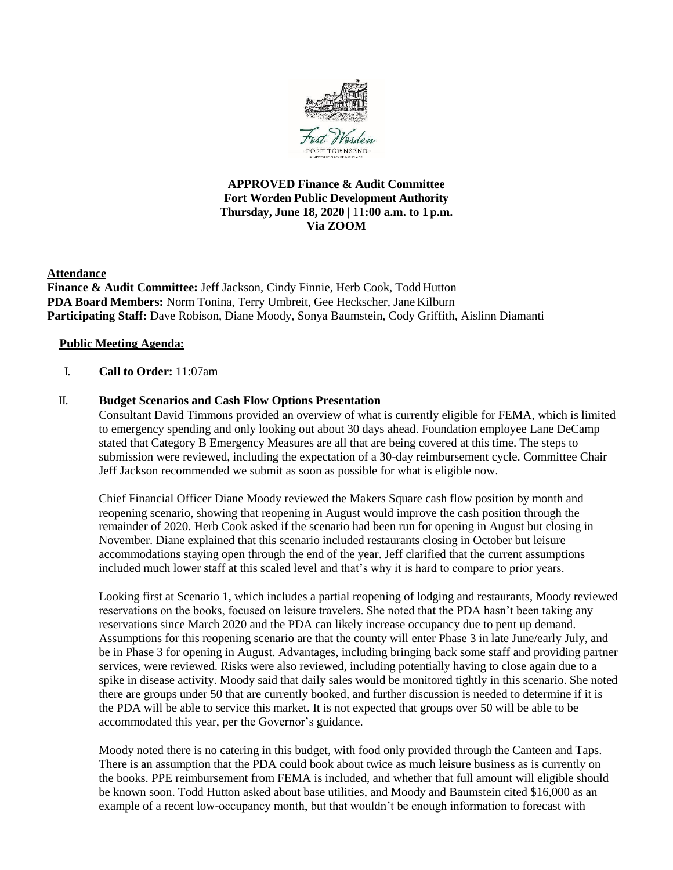

### **APPROVED Finance & Audit Committee Fort Worden Public Development Authority Thursday, June 18, 2020** | 11**:00 a.m. to 1 p.m. Via ZOOM**

#### **Attendance**

**Finance & Audit Committee:** Jeff Jackson, Cindy Finnie, Herb Cook, Todd Hutton **PDA Board Members:** Norm Tonina, Terry Umbreit, Gee Heckscher, Jane Kilburn **Participating Staff:** Dave Robison, Diane Moody, Sonya Baumstein, Cody Griffith, Aislinn Diamanti

### **Public Meeting Agenda:**

### I. **Call to Order:** 11:07am

### II. **Budget Scenarios and Cash Flow Options Presentation**

Consultant David Timmons provided an overview of what is currently eligible for FEMA, which is limited to emergency spending and only looking out about 30 days ahead. Foundation employee Lane DeCamp stated that Category B Emergency Measures are all that are being covered at this time. The steps to submission were reviewed, including the expectation of a 30-day reimbursement cycle. Committee Chair Jeff Jackson recommended we submit as soon as possible for what is eligible now.

Chief Financial Officer Diane Moody reviewed the Makers Square cash flow position by month and reopening scenario, showing that reopening in August would improve the cash position through the remainder of 2020. Herb Cook asked if the scenario had been run for opening in August but closing in November. Diane explained that this scenario included restaurants closing in October but leisure accommodations staying open through the end of the year. Jeff clarified that the current assumptions included much lower staff at this scaled level and that's why it is hard to compare to prior years.

Looking first at Scenario 1, which includes a partial reopening of lodging and restaurants, Moody reviewed reservations on the books, focused on leisure travelers. She noted that the PDA hasn't been taking any reservations since March 2020 and the PDA can likely increase occupancy due to pent up demand. Assumptions for this reopening scenario are that the county will enter Phase 3 in late June/early July, and be in Phase 3 for opening in August. Advantages, including bringing back some staff and providing partner services, were reviewed. Risks were also reviewed, including potentially having to close again due to a spike in disease activity. Moody said that daily sales would be monitored tightly in this scenario. She noted there are groups under 50 that are currently booked, and further discussion is needed to determine if it is the PDA will be able to service this market. It is not expected that groups over 50 will be able to be accommodated this year, per the Governor's guidance.

Moody noted there is no catering in this budget, with food only provided through the Canteen and Taps. There is an assumption that the PDA could book about twice as much leisure business as is currently on the books. PPE reimbursement from FEMA is included, and whether that full amount will eligible should be known soon. Todd Hutton asked about base utilities, and Moody and Baumstein cited \$16,000 as an example of a recent low-occupancy month, but that wouldn't be enough information to forecast with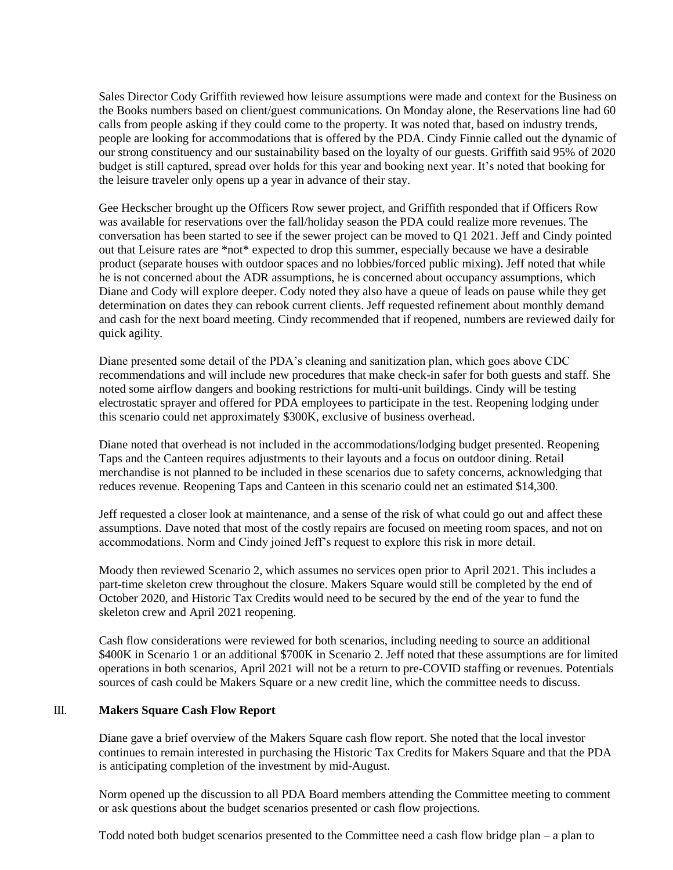Sales Director Cody Griffith reviewed how leisure assumptions were made and context for the Business on the Books numbers based on client/guest communications. On Monday alone, the Reservations line had 60 calls from people asking if they could come to the property. It was noted that, based on industry trends, people are looking for accommodations that is offered by the PDA. Cindy Finnie called out the dynamic of our strong constituency and our sustainability based on the loyalty of our guests. Griffith said 95% of 2020 budget is still captured, spread over holds for this year and booking next year. It's noted that booking for the leisure traveler only opens up a year in advance of their stay.

Gee Heckscher brought up the Officers Row sewer project, and Griffith responded that if Officers Row was available for reservations over the fall/holiday season the PDA could realize more revenues. The conversation has been started to see if the sewer project can be moved to Q1 2021. Jeff and Cindy pointed out that Leisure rates are \*not\* expected to drop this summer, especially because we have a desirable product (separate houses with outdoor spaces and no lobbies/forced public mixing). Jeff noted that while he is not concerned about the ADR assumptions, he is concerned about occupancy assumptions, which Diane and Cody will explore deeper. Cody noted they also have a queue of leads on pause while they get determination on dates they can rebook current clients. Jeff requested refinement about monthly demand and cash for the next board meeting. Cindy recommended that if reopened, numbers are reviewed daily for quick agility.

Diane presented some detail of the PDA's cleaning and sanitization plan, which goes above CDC recommendations and will include new procedures that make check-in safer for both guests and staff. She noted some airflow dangers and booking restrictions for multi-unit buildings. Cindy will be testing electrostatic sprayer and offered for PDA employees to participate in the test. Reopening lodging under this scenario could net approximately \$300K, exclusive of business overhead.

Diane noted that overhead is not included in the accommodations/lodging budget presented. Reopening Taps and the Canteen requires adjustments to their layouts and a focus on outdoor dining. Retail merchandise is not planned to be included in these scenarios due to safety concerns, acknowledging that reduces revenue. Reopening Taps and Canteen in this scenario could net an estimated \$14,300.

Jeff requested a closer look at maintenance, and a sense of the risk of what could go out and affect these assumptions. Dave noted that most of the costly repairs are focused on meeting room spaces, and not on accommodations. Norm and Cindy joined Jeff's request to explore this risk in more detail.

Moody then reviewed Scenario 2, which assumes no services open prior to April 2021. This includes a part-time skeleton crew throughout the closure. Makers Square would still be completed by the end of October 2020, and Historic Tax Credits would need to be secured by the end of the year to fund the skeleton crew and April 2021 reopening.

Cash flow considerations were reviewed for both scenarios, including needing to source an additional \$400K in Scenario 1 or an additional \$700K in Scenario 2. Jeff noted that these assumptions are for limited operations in both scenarios, April 2021 will not be a return to pre-COVID staffing or revenues. Potentials sources of cash could be Makers Square or a new credit line, which the committee needs to discuss.

### III. **Makers Square Cash Flow Report**

Diane gave a brief overview of the Makers Square cash flow report. She noted that the local investor continues to remain interested in purchasing the Historic Tax Credits for Makers Square and that the PDA is anticipating completion of the investment by mid-August.

Norm opened up the discussion to all PDA Board members attending the Committee meeting to comment or ask questions about the budget scenarios presented or cash flow projections.

Todd noted both budget scenarios presented to the Committee need a cash flow bridge plan – a plan to